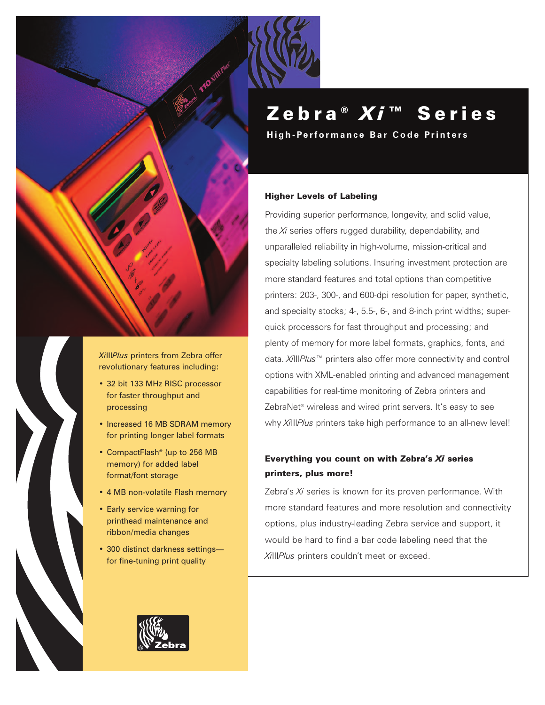

*Xi*III*Plus* printers from Zebra offer revolutionary features including:

- 32 bit 133 MHz RISC processor for faster throughput and processing
- Increased 16 MB SDRAM memory for printing longer label formats
- CompactFlash® (up to 256 MB memory) for added label format/font storage
- 4 MB non-volatile Flash memory
- Early service warning for printhead maintenance and ribbon/media changes
- 300 distinct darkness settings for fine-tuning print quality



**High-Performance Bar Code Printers**

### Higher Levels of Labeling

Providing superior performance, longevity, and solid value, the *Xi* series offers rugged durability, dependability, and unparalleled reliability in high-volume, mission-critical and specialty labeling solutions. Insuring investment protection are more standard features and total options than competitive printers: 203-, 300-, and 600-dpi resolution for paper, synthetic, and specialty stocks; 4-, 5.5-, 6-, and 8-inch print widths; superquick processors for fast throughput and processing; and plenty of memory for more label formats, graphics, fonts, and data. *Xi*III*Plus™* printers also offer more connectivity and control options with XML-enabled printing and advanced management capabilities for real-time monitoring of Zebra printers and ZebraNet<sup>®</sup> wireless and wired print servers. It's easy to see why *Xi*III*Plus* printers take high performance to an all-new level!

## Everything you count on with Zebra's *Xi* series printers, plus more!

Zebra's *Xi* series is known for its proven performance. With more standard features and more resolution and connectivity options, plus industry-leading Zebra service and support, it would be hard to find a bar code labeling need that the *Xi*III*Plus* printers couldn't meet or exceed.

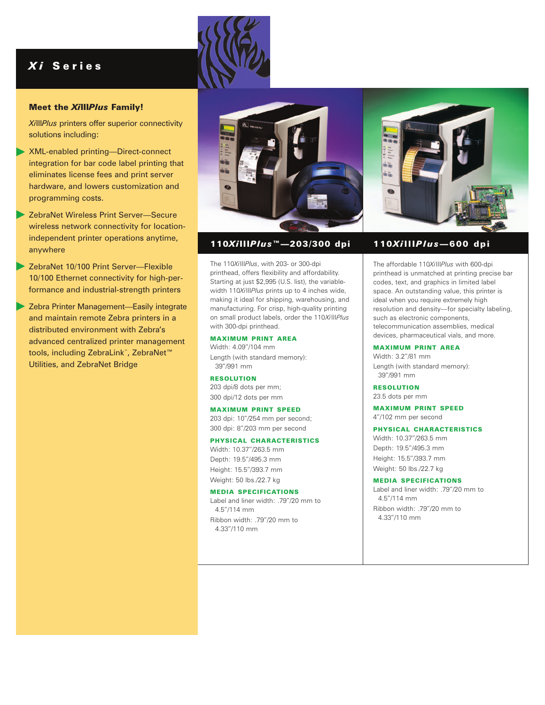# *X i* Series

### Meet the *Xi*III*Plus* Family!

*Xi*III*Plus* printers offer superior connectivity solutions including:

- XML-enabled printing—Direct-connect integration for bar code label printing that eliminates license fees and print server hardware, and lowers customization and programming costs.
- ZebraNet Wireless Print Server—Secure wireless network connectivity for locationindependent printer operations anytime, anywhere
- ▶ ZebraNet 10/100 Print Server--Flexible 10/100 Ethernet connectivity for high-performance and industrial-strength printers
- **▶ Zebra Printer Management—Easily integrate** and maintain remote Zebra printers in a distributed environment with Zebra's advanced centralized printer management tools, including ZebraLink™, ZebraNet™ Utilities, and ZebraNet Bridge



### 110*Xi*III*Plus™*—203/300 dpi

The 110*Xi*III*Plus*, with 203- or 300-dpi printhead, offers flexibility and affordability. Starting at just \$2,995 (U.S. list), the variablewidth 110*Xi*III*Plus* prints up to 4 inches wide, making it ideal for shipping, warehousing, and manufacturing. For crisp, high-quality printing on small product labels, order the 110*Xi*III*Plus* with 300-dpi printhead.

#### MAXIMUM PRINT AREA

Width: 4.09"/104 mm Length (with standard memory): 39"/991 mm

#### RESOLUTION

203 dpi/8 dots per mm; 300 dpi/12 dots per mm

### MAXIMUM PRINT SPEED

203 dpi: 10"/254 mm per second; 300 dpi: 8"/203 mm per second

### PHYSICAL CHARACTERISTICS

Width: 10.37"/263.5 mm Depth: 19.5"/495.3 mm Height: 15.5"/393.7 mm

Weight: 50 lbs./22.7 kg

### MEDIA SPECIFICATIONS

Label and liner width: .79"/20 mm to 4.5"/114 mm Ribbon width: .79"/20 mm to 4.33"/110 mm

### 110*Xi*III*Plus*—600 dpi

The affordable 110*Xi*III*Plus* with 600-dpi printhead is unmatched at printing precise bar codes, text, and graphics in limited label space. An outstanding value, this printer is ideal when you require extremely high resolution and density—for specialty labeling, such as electronic components, telecommunication assemblies, medical devices, pharmaceutical vials, and more.

### MAXIMUM PRINT AREA

Width: 3.2"/81 mm Length (with standard memory): 39"/991 mm

RESOLUTION 23.5 dots per mm

#### MAXIMUM PRINT SPEED

4"/102 mm per second

### PHYSICAL CHARACTERISTICS

Width: 10.37"/263.5 mm Depth: 19.5"/495.3 mm Height: 15.5"/393.7 mm Weight: 50 lbs./22.7 kg

#### MEDIA SPECIFICATIONS

Label and liner width: .79"/20 mm to 4.5"/114 mm Ribbon width: .79"/20 mm to 4.33"/110 mm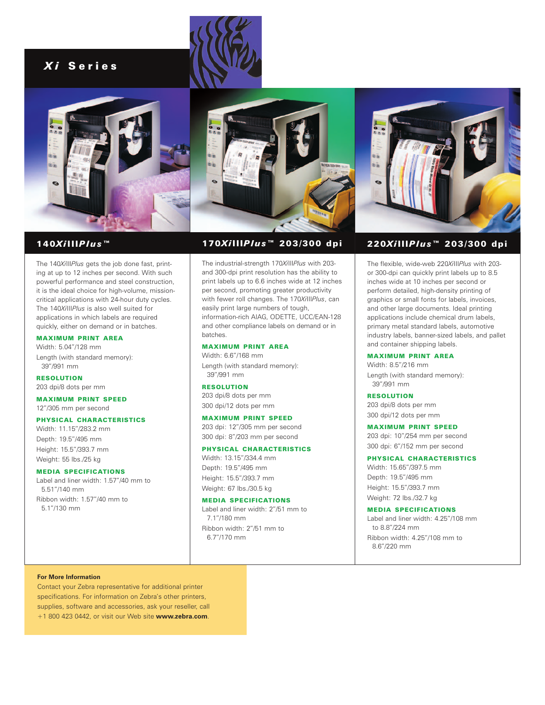# *X i* Series







### 140*Xi*III*Plus™*

The 140*Xi*III*Plus* gets the job done fast, printing at up to 12 inches per second. With such powerful performance and steel construction, it is the ideal choice for high-volume, missioncritical applications with 24-hour duty cycles. The 140*Xi*III*Plus* is also well suited for applications in which labels are required quickly, either on demand or in batches.

### MAXIMUM PRINT AREA

Width: 5.04"/128 mm Length (with standard memory): 39"/991 mm

RESOLUTION 203 dpi/8 dots per mm

MAXIMUM PRINT SPEED 12"/305 mm per second

### PHYSICAL CHARACTERISTICS

Width: 11.15"/283.2 mm Depth: 19.5"/495 mm Height: 15.5"/393.7 mm Weight: 55 lbs./25 kg

#### MEDIA SPECIFICATIONS

Label and liner width: 1.57"/40 mm to 5.51"/140 mm Ribbon width: 1.57"/40 mm to 5.1"/130 mm

### 170*Xi*III*Plus™* 203/300 dpi

The industrial-strength 170*Xi*III*Plus* with 203 and 300-dpi print resolution has the ability to print labels up to 6.6 inches wide at 12 inches per second, promoting greater productivity with fewer roll changes. The 170*Xi*III*Plus*, can easily print large numbers of tough, information-rich AIAG, ODETTE, UCC/EAN-128 and other compliance labels on demand or in batches.

### MAXIMUM PRINT AREA

Width: 6.6"/168 mm Length (with standard memory): 39"/991 mm

### RESOLUTION

203 dpi/8 dots per mm 300 dpi/12 dots per mm

### MAXIMUM PRINT SPEED

203 dpi: 12"/305 mm per second 300 dpi: 8"/203 mm per second

#### PHYSICAL CHARACTERISTICS

Width: 13.15"/334.4 mm Depth: 19.5"/495 mm Height: 15.5"/393.7 mm Weight: 67 lbs./30.5 kg

#### MEDIA SPECIFICATIONS

Label and liner width: 2"/51 mm to 7.1"/180 mm Ribbon width: 2"/51 mm to 6.7"/170 mm



# 220*Xi*III*Plus™* 203/300 dpi

The flexible, wide-web 220*Xi*III*Plus* with 203 or 300-dpi can quickly print labels up to 8.5 inches wide at 10 inches per second or perform detailed, high-density printing of graphics or small fonts for labels, invoices, and other large documents. Ideal printing applications include chemical drum labels, primary metal standard labels, automotive industry labels, banner-sized labels, and pallet and container shipping labels.

### MAXIMUM PRINT AREA

Width: 8.5"/216 mm Length (with standard memory): 39"/991 mm

#### RESOLUTION

203 dpi/8 dots per mm 300 dpi/12 dots per mm

#### MAXIMUM PRINT SPEED

203 dpi: 10"/254 mm per second 300 dpi: 6"/152 mm per second

### PHYSICAL CHARACTERISTICS

Width: 15.65"/397.5 mm Depth: 19.5"/495 mm Height: 15.5"/393.7 mm Weight: 72 lbs./32.7 kg

### MEDIA SPECIFICATIONS

Label and liner width: 4.25"/108 mm to 8.8"/224 mm Ribbon width: 4.25"/108 mm to 8.6"/220 mm

#### **For More Information**

Contact your Zebra representative for additional printer specifications. For information on Zebra's other printers, supplies, software and accessories, ask your reseller, call +1 800 423 0442, or visit our Web site **www.zebra.com**.